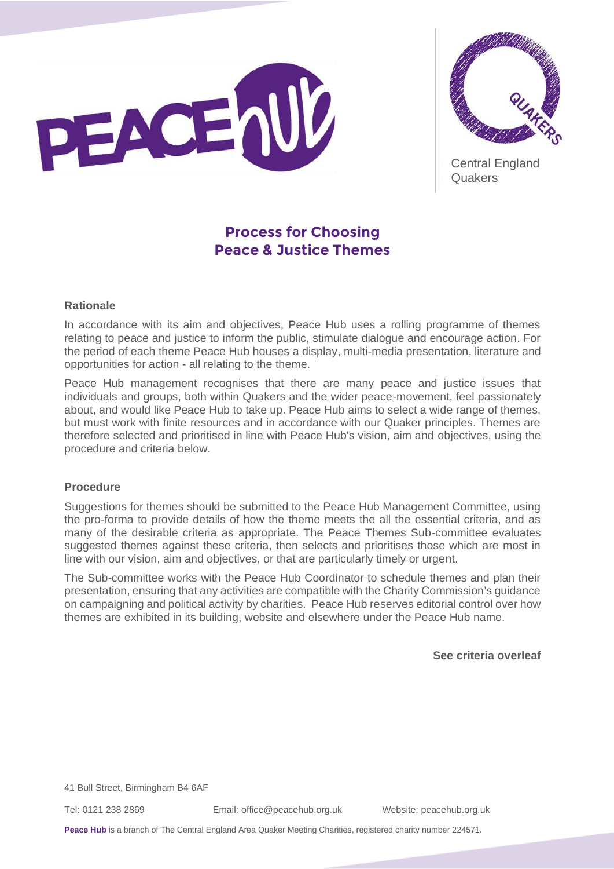



Central England **Quakers** 

# **Process for Choosing Peace & Justice Themes**

## **Rationale**

In accordance with its aim and objectives, Peace Hub uses a rolling programme of themes relating to peace and justice to inform the public, stimulate dialogue and encourage action. For the period of each theme Peace Hub houses a display, multi-media presentation, literature and opportunities for action - all relating to the theme.

Peace Hub management recognises that there are many peace and justice issues that individuals and groups, both within Quakers and the wider peace-movement, feel passionately about, and would like Peace Hub to take up. Peace Hub aims to select a wide range of themes, but must work with finite resources and in accordance with our Quaker principles. Themes are therefore selected and prioritised in line with Peace Hub's vision, aim and objectives, using the procedure and criteria below.

#### **Procedure**

Suggestions for themes should be submitted to the Peace Hub Management Committee, using the pro-forma to provide details of how the theme meets the all the essential criteria, and as many of the desirable criteria as appropriate. The Peace Themes Sub-committee evaluates suggested themes against these criteria, then selects and prioritises those which are most in line with our vision, aim and objectives, or that are particularly timely or urgent.

The Sub-committee works with the Peace Hub Coordinator to schedule themes and plan their presentation, ensuring that any activities are compatible with the Charity Commission's guidance on campaigning and political activity by charities. Peace Hub reserves editorial control over how themes are exhibited in its building, website and elsewhere under the Peace Hub name.

**See criteria overleaf**

41 Bull Street, Birmingham B4 6AF

Tel: 0121 238 2869 Email: [office@peacehub.org.uk](mailto:office@peacehub.org.uk) Website: peacehub.org.uk

**Peace Hub** is a branch of The Central England Area Quaker Meeting Charities, registered charity number 224571.